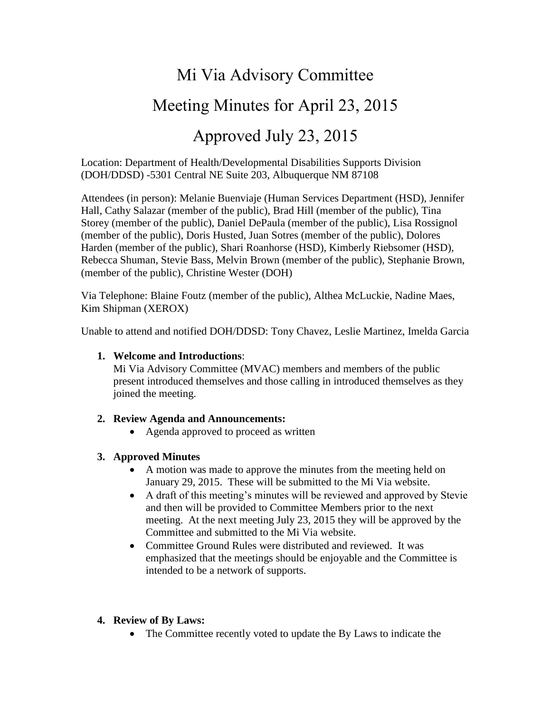# Mi Via Advisory Committee

# Meeting Minutes for April 23, 2015

# Approved July 23, 2015

Location: Department of Health/Developmental Disabilities Supports Division (DOH/DDSD) -5301 Central NE Suite 203, Albuquerque NM 87108

Attendees (in person): Melanie Buenviaje (Human Services Department (HSD), Jennifer Hall, Cathy Salazar (member of the public), Brad Hill (member of the public), Tina Storey (member of the public), Daniel DePaula (member of the public), Lisa Rossignol (member of the public), Doris Husted, Juan Sotres (member of the public), Dolores Harden (member of the public), Shari Roanhorse (HSD), Kimberly Riebsomer (HSD), Rebecca Shuman, Stevie Bass, Melvin Brown (member of the public), Stephanie Brown, (member of the public), Christine Wester (DOH)

Via Telephone: Blaine Foutz (member of the public), Althea McLuckie, Nadine Maes, Kim Shipman (XEROX)

Unable to attend and notified DOH/DDSD: Tony Chavez, Leslie Martinez, Imelda Garcia

#### **1. Welcome and Introductions**:

Mi Via Advisory Committee (MVAC) members and members of the public present introduced themselves and those calling in introduced themselves as they joined the meeting.

#### **2. Review Agenda and Announcements:**

• Agenda approved to proceed as written

#### **3. Approved Minutes**

- A motion was made to approve the minutes from the meeting held on January 29, 2015. These will be submitted to the Mi Via website.
- A draft of this meeting's minutes will be reviewed and approved by Stevie and then will be provided to Committee Members prior to the next meeting. At the next meeting July 23, 2015 they will be approved by the Committee and submitted to the Mi Via website.
- Committee Ground Rules were distributed and reviewed. It was emphasized that the meetings should be enjoyable and the Committee is intended to be a network of supports.

#### **4. Review of By Laws:**

• The Committee recently voted to update the By Laws to indicate the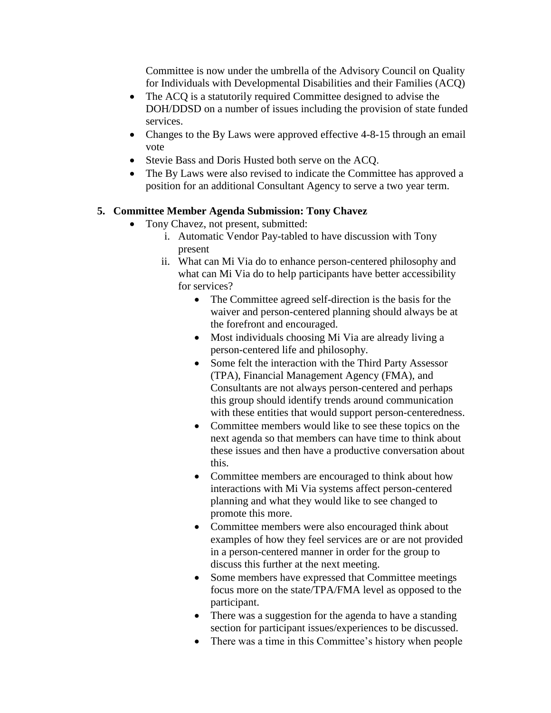Committee is now under the umbrella of the Advisory Council on Quality for Individuals with Developmental Disabilities and their Families (ACQ)

- The ACQ is a statutorily required Committee designed to advise the DOH/DDSD on a number of issues including the provision of state funded services.
- Changes to the By Laws were approved effective 4-8-15 through an email vote
- Stevie Bass and Doris Husted both serve on the ACQ.
- The By Laws were also revised to indicate the Committee has approved a position for an additional Consultant Agency to serve a two year term.

### **5. Committee Member Agenda Submission: Tony Chavez**

- Tony Chavez, not present, submitted:
	- i. Automatic Vendor Pay-tabled to have discussion with Tony present
	- ii. What can Mi Via do to enhance person-centered philosophy and what can Mi Via do to help participants have better accessibility for services?
		- The Committee agreed self-direction is the basis for the waiver and person-centered planning should always be at the forefront and encouraged.
		- Most individuals choosing Mi Via are already living a person-centered life and philosophy.
		- Some felt the interaction with the Third Party Assessor (TPA), Financial Management Agency (FMA), and Consultants are not always person-centered and perhaps this group should identify trends around communication with these entities that would support person-centeredness.
		- Committee members would like to see these topics on the next agenda so that members can have time to think about these issues and then have a productive conversation about this.
		- Committee members are encouraged to think about how interactions with Mi Via systems affect person-centered planning and what they would like to see changed to promote this more.
		- Committee members were also encouraged think about examples of how they feel services are or are not provided in a person-centered manner in order for the group to discuss this further at the next meeting.
		- Some members have expressed that Committee meetings focus more on the state/TPA/FMA level as opposed to the participant.
		- There was a suggestion for the agenda to have a standing section for participant issues/experiences to be discussed.
		- There was a time in this Committee's history when people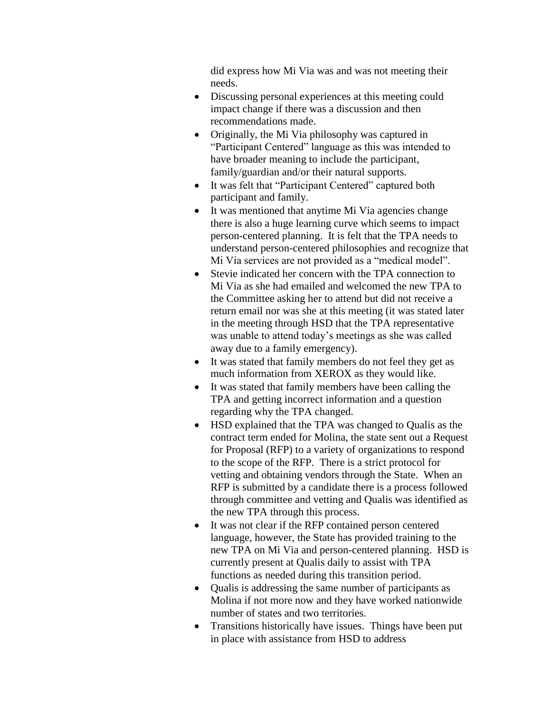did express how Mi Via was and was not meeting their needs.

- Discussing personal experiences at this meeting could impact change if there was a discussion and then recommendations made.
- Originally, the Mi Via philosophy was captured in "Participant Centered" language as this was intended to have broader meaning to include the participant, family/guardian and/or their natural supports.
- It was felt that "Participant Centered" captured both participant and family.
- It was mentioned that anytime Mi Via agencies change there is also a huge learning curve which seems to impact person-centered planning. It is felt that the TPA needs to understand person-centered philosophies and recognize that Mi Via services are not provided as a "medical model".
- Stevie indicated her concern with the TPA connection to Mi Via as she had emailed and welcomed the new TPA to the Committee asking her to attend but did not receive a return email nor was she at this meeting (it was stated later in the meeting through HSD that the TPA representative was unable to attend today's meetings as she was called away due to a family emergency).
- It was stated that family members do not feel they get as much information from XEROX as they would like.
- It was stated that family members have been calling the TPA and getting incorrect information and a question regarding why the TPA changed.
- HSD explained that the TPA was changed to Qualis as the contract term ended for Molina, the state sent out a Request for Proposal (RFP) to a variety of organizations to respond to the scope of the RFP. There is a strict protocol for vetting and obtaining vendors through the State. When an RFP is submitted by a candidate there is a process followed through committee and vetting and Qualis was identified as the new TPA through this process.
- It was not clear if the RFP contained person centered language, however, the State has provided training to the new TPA on Mi Via and person-centered planning. HSD is currently present at Qualis daily to assist with TPA functions as needed during this transition period.
- Qualis is addressing the same number of participants as Molina if not more now and they have worked nationwide number of states and two territories.
- Transitions historically have issues. Things have been put in place with assistance from HSD to address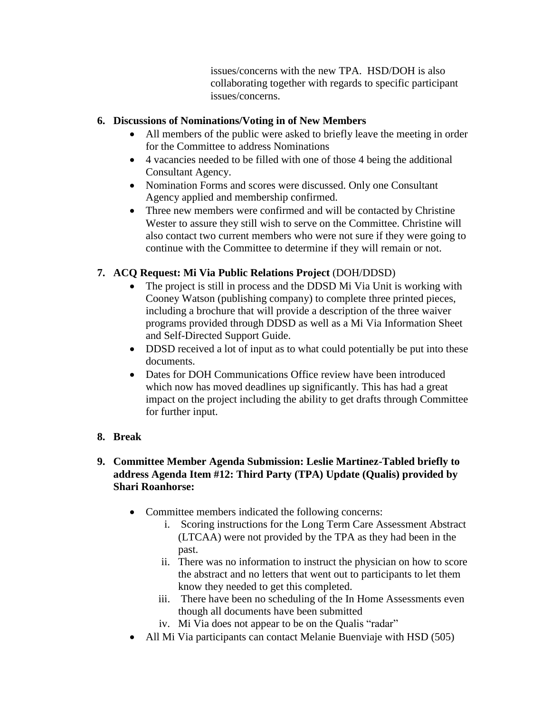issues/concerns with the new TPA. HSD/DOH is also collaborating together with regards to specific participant issues/concerns.

### **6. Discussions of Nominations/Voting in of New Members**

- All members of the public were asked to briefly leave the meeting in order for the Committee to address Nominations
- 4 vacancies needed to be filled with one of those 4 being the additional Consultant Agency.
- Nomination Forms and scores were discussed. Only one Consultant Agency applied and membership confirmed.
- Three new members were confirmed and will be contacted by Christine Wester to assure they still wish to serve on the Committee. Christine will also contact two current members who were not sure if they were going to continue with the Committee to determine if they will remain or not.

# **7. ACQ Request: Mi Via Public Relations Project** (DOH/DDSD)

- The project is still in process and the DDSD Mi Via Unit is working with Cooney Watson (publishing company) to complete three printed pieces, including a brochure that will provide a description of the three waiver programs provided through DDSD as well as a Mi Via Information Sheet and Self-Directed Support Guide.
- DDSD received a lot of input as to what could potentially be put into these documents.
- Dates for DOH Communications Office review have been introduced which now has moved deadlines up significantly. This has had a great impact on the project including the ability to get drafts through Committee for further input.

## **8. Break**

### **9. Committee Member Agenda Submission: Leslie Martinez-Tabled briefly to address Agenda Item #12: Third Party (TPA) Update (Qualis) provided by Shari Roanhorse:**

- Committee members indicated the following concerns:
	- i. Scoring instructions for the Long Term Care Assessment Abstract (LTCAA) were not provided by the TPA as they had been in the past.
	- ii. There was no information to instruct the physician on how to score the abstract and no letters that went out to participants to let them know they needed to get this completed.
	- iii. There have been no scheduling of the In Home Assessments even though all documents have been submitted
	- iv. Mi Via does not appear to be on the Qualis "radar"
- All Mi Via participants can contact Melanie Buenviaje with HSD (505)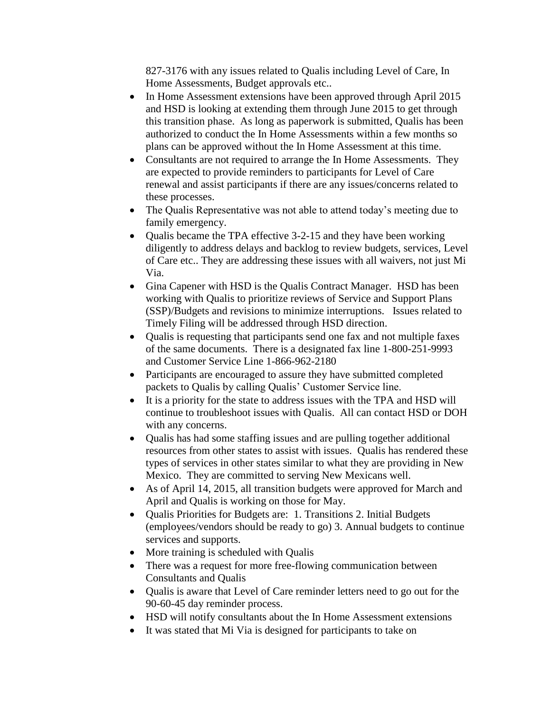827-3176 with any issues related to Qualis including Level of Care, In Home Assessments, Budget approvals etc..

- In Home Assessment extensions have been approved through April 2015 and HSD is looking at extending them through June 2015 to get through this transition phase. As long as paperwork is submitted, Qualis has been authorized to conduct the In Home Assessments within a few months so plans can be approved without the In Home Assessment at this time.
- Consultants are not required to arrange the In Home Assessments. They are expected to provide reminders to participants for Level of Care renewal and assist participants if there are any issues/concerns related to these processes.
- The Qualis Representative was not able to attend today's meeting due to family emergency.
- Qualis became the TPA effective 3-2-15 and they have been working diligently to address delays and backlog to review budgets, services, Level of Care etc.. They are addressing these issues with all waivers, not just Mi Via.
- Gina Capener with HSD is the Qualis Contract Manager. HSD has been working with Qualis to prioritize reviews of Service and Support Plans (SSP)/Budgets and revisions to minimize interruptions. Issues related to Timely Filing will be addressed through HSD direction.
- Qualis is requesting that participants send one fax and not multiple faxes of the same documents. There is a designated fax line 1-800-251-9993 and Customer Service Line 1-866-962-2180
- Participants are encouraged to assure they have submitted completed packets to Qualis by calling Qualis' Customer Service line.
- It is a priority for the state to address issues with the TPA and HSD will continue to troubleshoot issues with Qualis. All can contact HSD or DOH with any concerns.
- Qualis has had some staffing issues and are pulling together additional resources from other states to assist with issues. Qualis has rendered these types of services in other states similar to what they are providing in New Mexico. They are committed to serving New Mexicans well.
- As of April 14, 2015, all transition budgets were approved for March and April and Qualis is working on those for May.
- Qualis Priorities for Budgets are: 1. Transitions 2. Initial Budgets (employees/vendors should be ready to go) 3. Annual budgets to continue services and supports.
- More training is scheduled with Qualis
- There was a request for more free-flowing communication between Consultants and Qualis
- Qualis is aware that Level of Care reminder letters need to go out for the 90-60-45 day reminder process.
- HSD will notify consultants about the In Home Assessment extensions
- It was stated that Mi Via is designed for participants to take on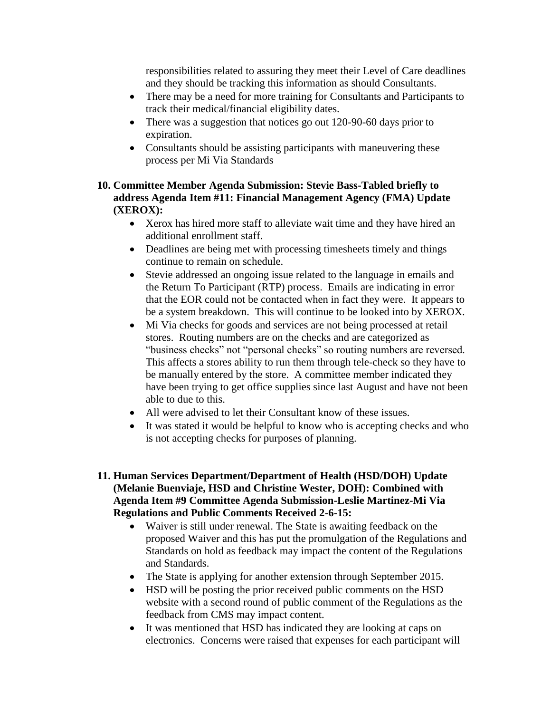responsibilities related to assuring they meet their Level of Care deadlines and they should be tracking this information as should Consultants.

- There may be a need for more training for Consultants and Participants to track their medical/financial eligibility dates.
- There was a suggestion that notices go out 120-90-60 days prior to expiration.
- Consultants should be assisting participants with maneuvering these process per Mi Via Standards
- **10. Committee Member Agenda Submission: Stevie Bass-Tabled briefly to address Agenda Item #11: Financial Management Agency (FMA) Update (XEROX):**
	- Xerox has hired more staff to alleviate wait time and they have hired an additional enrollment staff.
	- Deadlines are being met with processing timesheets timely and things continue to remain on schedule.
	- Stevie addressed an ongoing issue related to the language in emails and the Return To Participant (RTP) process. Emails are indicating in error that the EOR could not be contacted when in fact they were. It appears to be a system breakdown. This will continue to be looked into by XEROX.
	- Mi Via checks for goods and services are not being processed at retail stores. Routing numbers are on the checks and are categorized as "business checks" not "personal checks" so routing numbers are reversed. This affects a stores ability to run them through tele-check so they have to be manually entered by the store. A committee member indicated they have been trying to get office supplies since last August and have not been able to due to this.
	- All were advised to let their Consultant know of these issues.
	- It was stated it would be helpful to know who is accepting checks and who is not accepting checks for purposes of planning.
- **11. Human Services Department/Department of Health (HSD/DOH) Update (Melanie Buenviaje, HSD and Christine Wester, DOH): Combined with Agenda Item #9 Committee Agenda Submission-Leslie Martinez-Mi Via Regulations and Public Comments Received 2-6-15:**
	- Waiver is still under renewal. The State is awaiting feedback on the proposed Waiver and this has put the promulgation of the Regulations and Standards on hold as feedback may impact the content of the Regulations and Standards.
	- The State is applying for another extension through September 2015.
	- HSD will be posting the prior received public comments on the HSD website with a second round of public comment of the Regulations as the feedback from CMS may impact content.
	- It was mentioned that HSD has indicated they are looking at caps on electronics. Concerns were raised that expenses for each participant will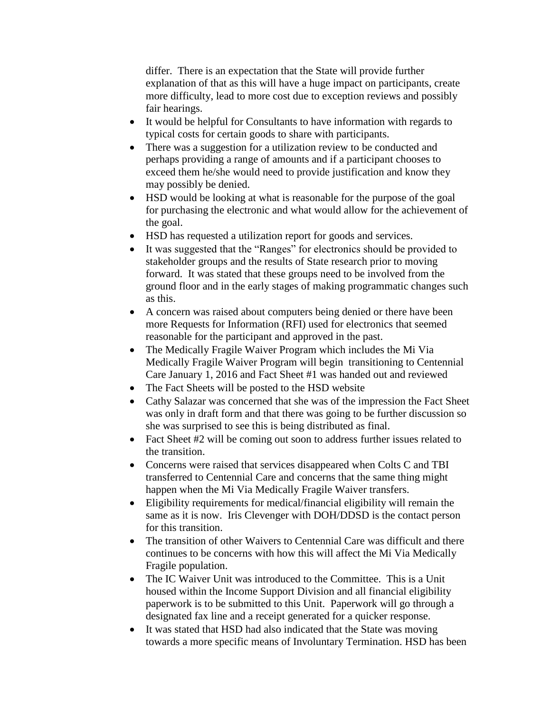differ. There is an expectation that the State will provide further explanation of that as this will have a huge impact on participants, create more difficulty, lead to more cost due to exception reviews and possibly fair hearings.

- It would be helpful for Consultants to have information with regards to typical costs for certain goods to share with participants.
- There was a suggestion for a utilization review to be conducted and perhaps providing a range of amounts and if a participant chooses to exceed them he/she would need to provide justification and know they may possibly be denied.
- HSD would be looking at what is reasonable for the purpose of the goal for purchasing the electronic and what would allow for the achievement of the goal.
- HSD has requested a utilization report for goods and services.
- It was suggested that the "Ranges" for electronics should be provided to stakeholder groups and the results of State research prior to moving forward. It was stated that these groups need to be involved from the ground floor and in the early stages of making programmatic changes such as this.
- A concern was raised about computers being denied or there have been more Requests for Information (RFI) used for electronics that seemed reasonable for the participant and approved in the past.
- The Medically Fragile Waiver Program which includes the Mi Via Medically Fragile Waiver Program will begin transitioning to Centennial Care January 1, 2016 and Fact Sheet #1 was handed out and reviewed
- The Fact Sheets will be posted to the HSD website
- Cathy Salazar was concerned that she was of the impression the Fact Sheet was only in draft form and that there was going to be further discussion so she was surprised to see this is being distributed as final.
- Fact Sheet #2 will be coming out soon to address further issues related to the transition.
- Concerns were raised that services disappeared when Colts C and TBI transferred to Centennial Care and concerns that the same thing might happen when the Mi Via Medically Fragile Waiver transfers.
- Eligibility requirements for medical/financial eligibility will remain the same as it is now. Iris Clevenger with DOH/DDSD is the contact person for this transition.
- The transition of other Waivers to Centennial Care was difficult and there continues to be concerns with how this will affect the Mi Via Medically Fragile population.
- The IC Waiver Unit was introduced to the Committee. This is a Unit housed within the Income Support Division and all financial eligibility paperwork is to be submitted to this Unit. Paperwork will go through a designated fax line and a receipt generated for a quicker response.
- It was stated that HSD had also indicated that the State was moving towards a more specific means of Involuntary Termination. HSD has been